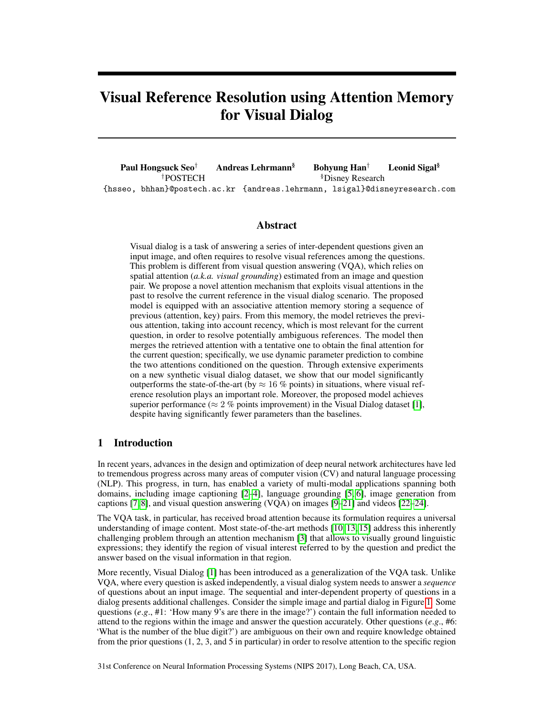# Visual Reference Resolution using Attention Memory for Visual Dialog

Paul Hongsuck Seo<sup>†</sup> Andreas Lehrmann<sup>§</sup> Bohyung Han<sup>†</sup> Leonid Sigal<sup>§</sup> <sup>†</sup>POSTECH <sup>§</sup>Disney Research {hsseo, bhhan}@postech.ac.kr {andreas.lehrmann, lsigal}@disneyresearch.com

#### Abstract

Visual dialog is a task of answering a series of inter-dependent questions given an input image, and often requires to resolve visual references among the questions. This problem is different from visual question answering (VQA), which relies on spatial attention (*a.k.a. visual grounding*) estimated from an image and question pair. We propose a novel attention mechanism that exploits visual attentions in the past to resolve the current reference in the visual dialog scenario. The proposed model is equipped with an associative attention memory storing a sequence of previous (attention, key) pairs. From this memory, the model retrieves the previous attention, taking into account recency, which is most relevant for the current question, in order to resolve potentially ambiguous references. The model then merges the retrieved attention with a tentative one to obtain the final attention for the current question; specifically, we use dynamic parameter prediction to combine the two attentions conditioned on the question. Through extensive experiments on a new synthetic visual dialog dataset, we show that our model significantly outperforms the state-of-the-art (by  $\approx 16$  % points) in situations, where visual reference resolution plays an important role. Moreover, the proposed model achieves superior performance ( $\approx 2$  % points improvement) in the Visual Dialog dataset [1], despite having significantly fewer parameters than the baselines.

## 1 Introduction

In recent years, advances in the design and optimization of deep neural network architectures have led to tremendous progress across many areas of computer vision (CV) and natural language processing (NLP). This progress, in turn, has enabled a variety of multi-modal applications spanning both domains, including image captioning [2–4], language grounding [5, 6], image generation from captions [7, 8], and visual question answering (VQA) on images [9–21] and videos [22–24].

The VQA task, in particular, has received broad attention because its formulation requires a universal understanding of image content. Most state-of-the-art methods [10, 13, 15] address this inherently challenging problem through an attention mechanism [3] that allows to visually ground linguistic expressions; they identify the region of visual interest referred to by the question and predict the answer based on the visual information in that region.

More recently, Visual Dialog [1] has been introduced as a generalization of the VQA task. Unlike VQA, where every question is asked independently, a visual dialog system needs to answer a *sequence* of questions about an input image. The sequential and inter-dependent property of questions in a dialog presents additional challenges. Consider the simple image and partial dialog in Figure 1. Some questions (*e.g.*, #1: 'How many 9's are there in the image?') contain the full information needed to attend to the regions within the image and answer the question accurately. Other questions (*e*.*g*., #6: 'What is the number of the blue digit?') are ambiguous on their own and require knowledge obtained from the prior questions (1, 2, 3, and 5 in particular) in order to resolve attention to the specific region

31st Conference on Neural Information Processing Systems (NIPS 2017), Long Beach, CA, USA.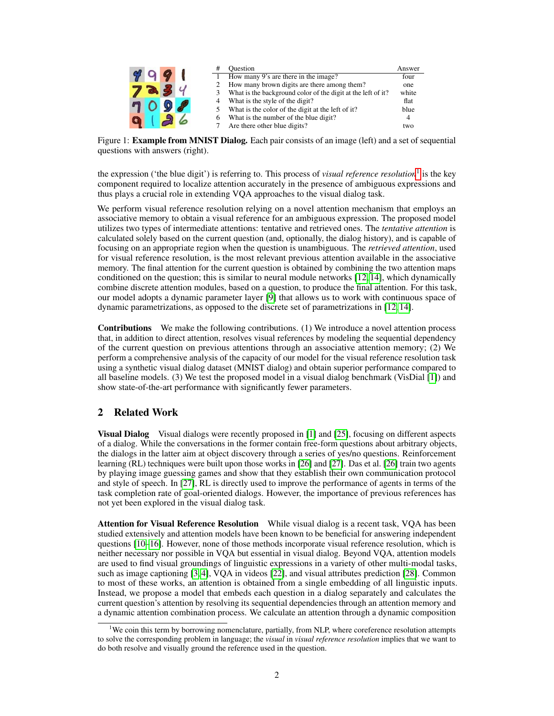|  |  |   | <b>Ouestion</b>                                              | Answer |
|--|--|---|--------------------------------------------------------------|--------|
|  |  |   | How many 9's are there in the image?                         | four   |
|  |  |   | How many brown digits are there among them?                  | one    |
|  |  |   | What is the background color of the digit at the left of it? | white  |
|  |  |   | What is the style of the digit?                              | flat   |
|  |  |   | What is the color of the digit at the left of it?            | blue   |
|  |  | 6 | What is the number of the blue digit?                        |        |
|  |  |   | Are there other blue digits?                                 | two    |

Figure 1: **Example from MNIST Dialog.** Each pair consists of an image (left) and a set of sequential questions with answers (right).

the expression ('the blue digit') is referring to. This process of *visual reference resolution*<sup>1</sup> is the key component required to localize attention accurately in the presence of ambiguous expressions and thus plays a crucial role in extending VQA approaches to the visual dialog task.

We perform visual reference resolution relying on a novel attention mechanism that employs an associative memory to obtain a visual reference for an ambiguous expression. The proposed model utilizes two types of intermediate attentions: tentative and retrieved ones. The *tentative attention* is calculated solely based on the current question (and, optionally, the dialog history), and is capable of focusing on an appropriate region when the question is unambiguous. The *retrieved attention*, used for visual reference resolution, is the most relevant previous attention available in the associative memory. The final attention for the current question is obtained by combining the two attention maps conditioned on the question; this is similar to neural module networks [12, 14], which dynamically combine discrete attention modules, based on a question, to produce the final attention. For this task, our model adopts a dynamic parameter layer [9] that allows us to work with continuous space of dynamic parametrizations, as opposed to the discrete set of parametrizations in [12, 14].

Contributions We make the following contributions. (1) We introduce a novel attention process that, in addition to direct attention, resolves visual references by modeling the sequential dependency of the current question on previous attentions through an associative attention memory; (2) We perform a comprehensive analysis of the capacity of our model for the visual reference resolution task using a synthetic visual dialog dataset (MNIST dialog) and obtain superior performance compared to all baseline models. (3) We test the proposed model in a visual dialog benchmark (VisDial [1]) and show state-of-the-art performance with significantly fewer parameters.

## 2 Related Work

**Visual Dialog** Visual dialogs were recently proposed in [1] and [25], focusing on different aspects of a dialog. While the conversations in the former contain free-form questions about arbitrary objects, the dialogs in the latter aim at object discovery through a series of yes/no questions. Reinforcement learning (RL) techniques were built upon those works in [26] and [27]. Das et al. [26] train two agents by playing image guessing games and show that they establish their own communication protocol and style of speech. In [27], RL is directly used to improve the performance of agents in terms of the task completion rate of goal-oriented dialogs. However, the importance of previous references has not yet been explored in the visual dialog task.

Attention for Visual Reference Resolution While visual dialog is a recent task, VQA has been studied extensively and attention models have been known to be beneficial for answering independent questions [10–16]. However, none of those methods incorporate visual reference resolution, which is neither necessary nor possible in VQA but essential in visual dialog. Beyond VQA, attention models are used to find visual groundings of linguistic expressions in a variety of other multi-modal tasks, such as image captioning [3, 4], VQA in videos [22], and visual attributes prediction [28]. Common to most of these works, an attention is obtained from a single embedding of all linguistic inputs. Instead, we propose a model that embeds each question in a dialog separately and calculates the current question's attention by resolving its sequential dependencies through an attention memory and a dynamic attention combination process. We calculate an attention through a dynamic composition

<sup>&</sup>lt;sup>1</sup>We coin this term by borrowing nomenclature, partially, from NLP, where coreference resolution attempts to solve the corresponding problem in language; the *visual* in *visual reference resolution* implies that we want to do both resolve and visually ground the reference used in the question.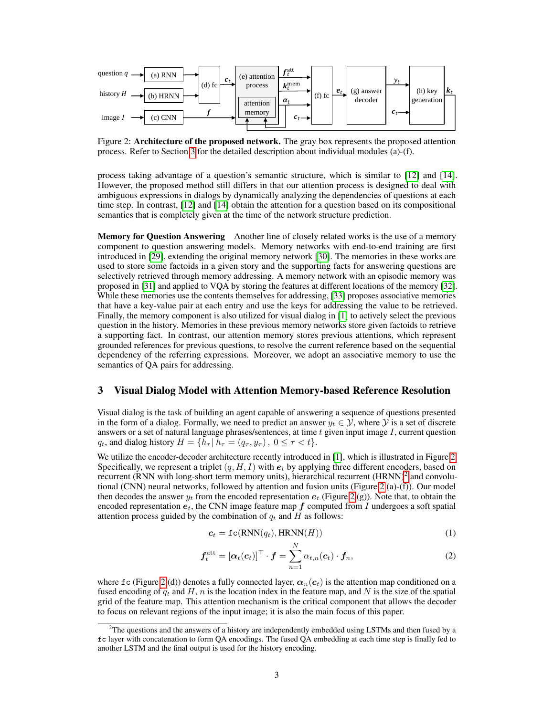

Figure 2: Architecture of the proposed network. The gray box represents the proposed attention process. Refer to Section 3 for the detailed description about individual modules (a)-(f).

process taking advantage of a question's semantic structure, which is similar to [12] and [14]. However, the proposed method still differs in that our attention process is designed to deal with ambiguous expressions in dialogs by dynamically analyzing the dependencies of questions at each time step. In contrast, [12] and [14] obtain the attention for a question based on its compositional semantics that is completely given at the time of the network structure prediction.

Memory for Question Answering Another line of closely related works is the use of a memory component to question answering models. Memory networks with end-to-end training are first introduced in [29], extending the original memory network [30]. The memories in these works are used to store some factoids in a given story and the supporting facts for answering questions are selectively retrieved through memory addressing. A memory network with an episodic memory was proposed in [31] and applied to VQA by storing the features at different locations of the memory [32]. While these memories use the contents themselves for addressing, [33] proposes associative memories that have a key-value pair at each entry and use the keys for addressing the value to be retrieved. Finally, the memory component is also utilized for visual dialog in [1] to actively select the previous question in the history. Memories in these previous memory networks store given factoids to retrieve a supporting fact. In contrast, our attention memory stores previous attentions, which represent grounded references for previous questions, to resolve the current reference based on the sequential dependency of the referring expressions. Moreover, we adopt an associative memory to use the semantics of QA pairs for addressing.

### 3 Visual Dialog Model with Attention Memory-based Reference Resolution

Visual dialog is the task of building an agent capable of answering a sequence of questions presented in the form of a dialog. Formally, we need to predict an answer  $y_t \in \mathcal{Y}$ , where  $\mathcal{Y}$  is a set of discrete answers or a set of natural language phrases/sentences, at time  $t$  given input image  $I$ , current question  $q_t$ , and dialog history  $H = \{\bar{h}_{\tau} | \bar{h}_{\tau} = (q_{\tau}, y_{\tau}), 0 \leq \tau < t\}.$ 

We utilize the encoder-decoder architecture recently introduced in [1], which is illustrated in Figure 2. Specifically, we represent a triplet  $(q, H, I)$  with  $e_t$  by applying three different encoders, based on recurrent (RNN with long-short term memory units), hierarchical recurrent (HRNN)<sup>2</sup> and convolutional (CNN) neural networks, followed by attention and fusion units (Figure 2 (a)-(f)). Our model then decodes the answer  $y_t$  from the encoded representation  $e_t$  (Figure 2 (g)). Note that, to obtain the encoded representation  $e_t$ , the CNN image feature map  $f$  computed from I undergoes a soft spatial attention process guided by the combination of  $q_t$  and  $H$  as follows:

$$
c_t = \texttt{fc}(\text{RNN}(q_t), \text{HRNN}(H))
$$
\n(1)

$$
\boldsymbol{f}_t^{\text{att}} = [\boldsymbol{\alpha}_t(\boldsymbol{c}_t)]^\top \cdot \boldsymbol{f} = \sum_{n=1}^N \alpha_{t,n}(\boldsymbol{c}_t) \cdot \boldsymbol{f}_n, \tag{2}
$$

where fc (Figure 2 (d)) denotes a fully connected layer,  $\alpha_n(c_t)$  is the attention map conditioned on a fused encoding of  $q_t$  and H, n is the location index in the feature map, and N is the size of the spatial grid of the feature map. This attention mechanism is the critical component that allows the decoder to focus on relevant regions of the input image; it is also the main focus of this paper.

 $2$ The questions and the answers of a history are independently embedded using LSTMs and then fused by a fc layer with concatenation to form QA encodings. The fused QA embedding at each time step is finally fed to another LSTM and the final output is used for the history encoding.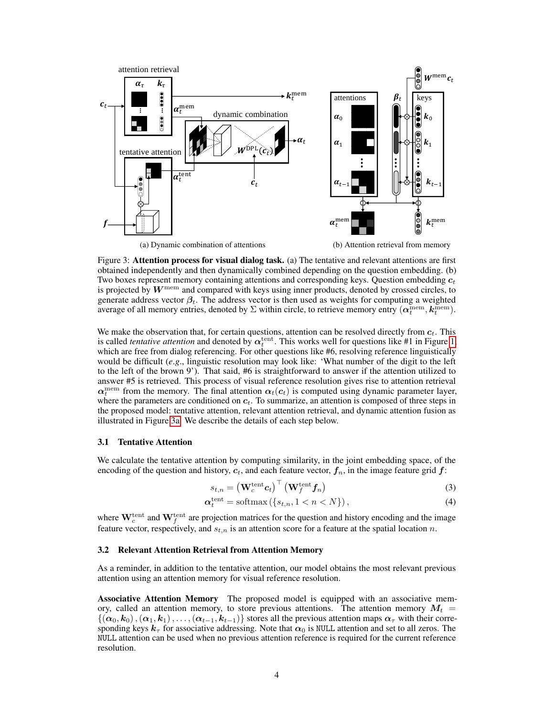

Figure 3: **Attention process for visual dialog task.** (a) The tentative and relevant attentions are first obtained independently and then dynamically combined depending on the question embedding. (b) Two boxes represent memory containing attentions and corresponding keys. Question embedding  $c_t$ is projected by  $W^{\text{mem}}$  and compared with keys using inner products, denoted by crossed circles, to generate address vector  $\beta_t$ . The address vector is then used as weights for computing a weighted average of all memory entries, denoted by  $\Sigma$  within circle, to retrieve memory entry  $(\alpha_t^{\text{mem}}, k_t^{\text{mem}})$ .

We make the observation that, for certain questions, attention can be resolved directly from  $c_t$ . This is called *tentative attention* and denoted by  $\alpha_t^{\text{tent}}$ . This works well for questions like #1 in Figure 1, which are free from dialog referencing. For other questions like #6, resolving reference linguistically would be difficult (*e*.*g*., linguistic resolution may look like: 'What number of the digit to the left to the left of the brown 9'). That said, #6 is straightforward to answer if the attention utilized to answer #5 is retrieved. This process of visual reference resolution gives rise to attention retrieval  $\alpha_t^{\text{mem}}$  from the memory. The final attention  $\alpha_t(c_t)$  is computed using dynamic parameter layer, where the parameters are conditioned on  $c_t$ . To summarize, an attention is composed of three steps in the proposed model: tentative attention, relevant attention retrieval, and dynamic attention fusion as illustrated in Figure 3a. We describe the details of each step below.

#### 3.1 Tentative Attention

We calculate the tentative attention by computing similarity, in the joint embedding space, of the encoding of the question and history,  $c_t$ , and each feature vector,  $f_n$ , in the image feature grid  $f$ :

$$
s_{t,n} = \left(\mathbf{W}_c^{\text{tent}} \mathbf{c}_t\right)^\top \left(\mathbf{W}_f^{\text{tent}} \mathbf{f}_n\right) \tag{3}
$$

$$
\alpha_t^{\text{tent}} = \text{softmax}\left(\{s_{t,n}, 1 < n < N\}\right),\tag{4}
$$

where  $\mathbf{W}_c^{\text{tent}}$  and  $\mathbf{W}_f^{\text{tent}}$  are projection matrices for the question and history encoding and the image feature vector, respectively, and  $s_{t,n}$  is an attention score for a feature at the spatial location n.

#### 3.2 Relevant Attention Retrieval from Attention Memory

As a reminder, in addition to the tentative attention, our model obtains the most relevant previous attention using an attention memory for visual reference resolution.

Associative Attention Memory The proposed model is equipped with an associative memory, called an attention memory, to store previous attentions. The attention memory  $M_t =$  $\{(\alpha_0, k_0),(\alpha_1, k_1),\ldots,(\alpha_{t-1}, k_{t-1})\}$  stores all the previous attention maps  $\alpha_{\tau}$  with their corresponding keys  $k_{\tau}$  for associative addressing. Note that  $\alpha_0$  is NULL attention and set to all zeros. The NULL attention can be used when no previous attention reference is required for the current reference resolution.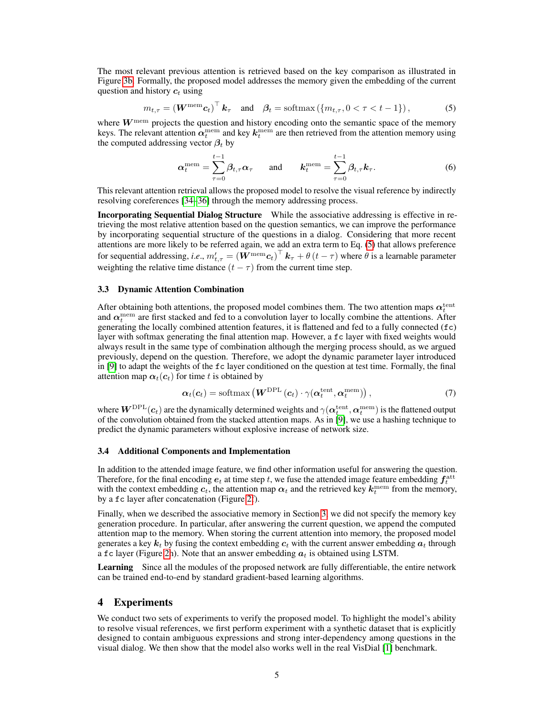The most relevant previous attention is retrieved based on the key comparison as illustrated in Figure 3b. Formally, the proposed model addresses the memory given the embedding of the current question and history  $c_t$  using

$$
m_{t,\tau} = \left(\mathbf{W}^{\text{mem}}\mathbf{c}_t\right)^{\top} \mathbf{k}_{\tau} \quad \text{and} \quad \boldsymbol{\beta}_t = \text{softmax}\left(\{m_{t,\tau}, 0 < \tau < t - 1\}\right),\tag{5}
$$

where  $W^{\text{mem}}$  projects the question and history encoding onto the semantic space of the memory keys. The relevant attention  $\alpha_t^{\text{mem}}$  and key  $k_t^{\text{mem}}$  are then retrieved from the attention memory using the computed addressing vector  $\beta_t$  by

$$
\alpha_t^{\text{mem}} = \sum_{\tau=0}^{t-1} \beta_{t,\tau} \alpha_{\tau} \quad \text{and} \quad k_t^{\text{mem}} = \sum_{\tau=0}^{t-1} \beta_{t,\tau} k_{\tau}.
$$
 (6)

This relevant attention retrieval allows the proposed model to resolve the visual reference by indirectly resolving coreferences [34–36] through the memory addressing process.

Incorporating Sequential Dialog Structure While the associative addressing is effective in retrieving the most relative attention based on the question semantics, we can improve the performance by incorporating sequential structure of the questions in a dialog. Considering that more recent attentions are more likely to be referred again, we add an extra term to Eq. (5) that allows preference for sequential addressing, *i.e.*,  $m'_{t,\tau} = (\boldsymbol{W}^{\text{mem}} \boldsymbol{c}_t)^\top \, \boldsymbol{k}_\tau + \theta \, (t-\tau)$  where  $\theta$  is a learnable parameter weighting the relative time distance  $(t - \tau)$  from the current time step.

#### 3.3 Dynamic Attention Combination

After obtaining both attentions, the proposed model combines them. The two attention maps  $\alpha_t^{\rm tent}$ and  $\alpha_t^{\text{mem}}$  are first stacked and fed to a convolution layer to locally combine the attentions. After generating the locally combined attention features, it is flattened and fed to a fully connected (fc) layer with softmax generating the final attention map. However, a fc layer with fixed weights would always result in the same type of combination although the merging process should, as we argued previously, depend on the question. Therefore, we adopt the dynamic parameter layer introduced in [9] to adapt the weights of the fc layer conditioned on the question at test time. Formally, the final attention map  $\alpha_t(c_t)$  for time t is obtained by

$$
\boldsymbol{\alpha}_{t}(\boldsymbol{c}_{t}) = \text{softmax}\left(\boldsymbol{W}^{\text{DPL}}\left(\boldsymbol{c}_{t}\right) \cdot \gamma(\boldsymbol{\alpha}_{t}^{\text{tent}}, \boldsymbol{\alpha}_{t}^{\text{mem}})\right),\tag{7}
$$

where  $W^{\text{DPL}}(c_t)$  are the dynamically determined weights and  $\gamma(\bm{\alpha}^{\text{tent}}_t,\bm{\alpha}^{\text{mem}}_t)$  is the flattened output of the convolution obtained from the stacked attention maps. As in [9], we use a hashing technique to predict the dynamic parameters without explosive increase of network size.

#### 3.4 Additional Components and Implementation

In addition to the attended image feature, we find other information useful for answering the question. Therefore, for the final encoding  $e_t$  at time step t, we fuse the attended image feature embedding  $f_t^{\text{att}}$ with the context embedding  $c_t$ , the attention map  $\alpha_t$  and the retrieved key  $k_t^{\text{mem}}$  from the memory, by a fc layer after concatenation (Figure 2f).

Finally, when we described the associative memory in Section 3, we did not specify the memory key generation procedure. In particular, after answering the current question, we append the computed attention map to the memory. When storing the current attention into memory, the proposed model generates a key  $k_t$  by fusing the context embedding  $c_t$  with the current answer embedding  $a_t$  through a fc layer (Figure 2h). Note that an answer embedding  $a_t$  is obtained using LSTM.

Learning Since all the modules of the proposed network are fully differentiable, the entire network can be trained end-to-end by standard gradient-based learning algorithms.

## 4 Experiments

We conduct two sets of experiments to verify the proposed model. To highlight the model's ability to resolve visual references, we first perform experiment with a synthetic dataset that is explicitly designed to contain ambiguous expressions and strong inter-dependency among questions in the visual dialog. We then show that the model also works well in the real VisDial [1] benchmark.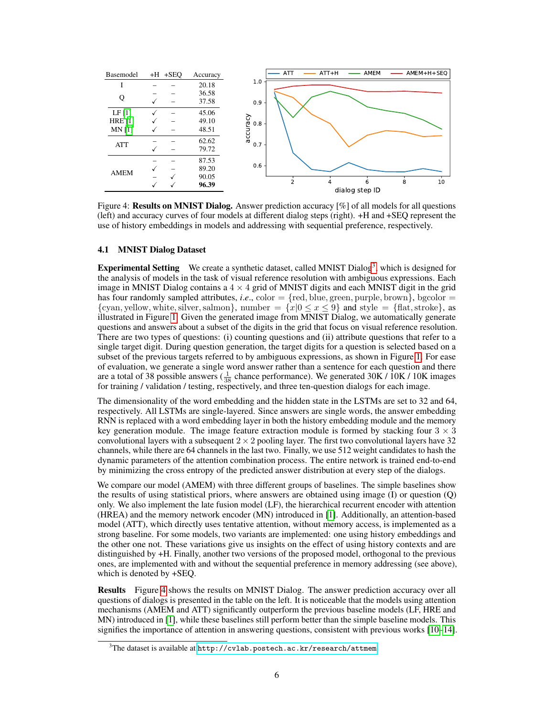

Figure 4: Results on MNIST Dialog. Answer prediction accuracy [%] of all models for all questions (left) and accuracy curves of four models at different dialog steps (right). +H and +SEQ represent the use of history embeddings in models and addressing with sequential preference, respectively.

#### 4.1 MNIST Dialog Dataset

**Experimental Setting** We create a synthetic dataset, called MNIST Dialog<sup>3</sup>, which is designed for the analysis of models in the task of visual reference resolution with ambiguous expressions. Each image in MNIST Dialog contains a  $4 \times 4$  grid of MNIST digits and each MNIST digit in the grid has four randomly sampled attributes, *i.e.*, color  $=$  {red, blue, green, purple, brown}, bgcolor  $=$ {cyan, yellow, white, silver, salmon}, number =  $\{x|0 \le x \le 9\}$  and style =  $\{\text{flat}, \text{stroke}\}\)$ , as illustrated in Figure 1. Given the generated image from MNIST Dialog, we automatically generate questions and answers about a subset of the digits in the grid that focus on visual reference resolution. There are two types of questions: (i) counting questions and (ii) attribute questions that refer to a single target digit. During question generation, the target digits for a question is selected based on a subset of the previous targets referred to by ambiguous expressions, as shown in Figure 1. For ease of evaluation, we generate a single word answer rather than a sentence for each question and there are a total of 38 possible answers ( $\frac{1}{38}$  chance performance). We generated 30K / 10K / 10K images for training / validation / testing, respectively, and three ten-question dialogs for each image.

The dimensionality of the word embedding and the hidden state in the LSTMs are set to 32 and 64, respectively. All LSTMs are single-layered. Since answers are single words, the answer embedding RNN is replaced with a word embedding layer in both the history embedding module and the memory key generation module. The image feature extraction module is formed by stacking four  $3 \times 3$ convolutional layers with a subsequent  $2 \times 2$  pooling layer. The first two convolutional layers have 32 channels, while there are 64 channels in the last two. Finally, we use 512 weight candidates to hash the dynamic parameters of the attention combination process. The entire network is trained end-to-end by minimizing the cross entropy of the predicted answer distribution at every step of the dialogs.

We compare our model (AMEM) with three different groups of baselines. The simple baselines show the results of using statistical priors, where answers are obtained using image (I) or question (Q) only. We also implement the late fusion model (LF), the hierarchical recurrent encoder with attention (HREA) and the memory network encoder (MN) introduced in [1]. Additionally, an attention-based model (ATT), which directly uses tentative attention, without memory access, is implemented as a strong baseline. For some models, two variants are implemented: one using history embeddings and the other one not. These variations give us insights on the effect of using history contexts and are distinguished by +H. Finally, another two versions of the proposed model, orthogonal to the previous ones, are implemented with and without the sequential preference in memory addressing (see above), which is denoted by +SEQ.

Results Figure 4 shows the results on MNIST Dialog. The answer prediction accuracy over all questions of dialogs is presented in the table on the left. It is noticeable that the models using attention mechanisms (AMEM and ATT) significantly outperform the previous baseline models (LF, HRE and MN) introduced in [1], while these baselines still perform better than the simple baseline models. This signifies the importance of attention in answering questions, consistent with previous works [10–14].

 $^3$ The dataset is available at  ${\tt http://cvlab.poster.ac.kr/research/attem}$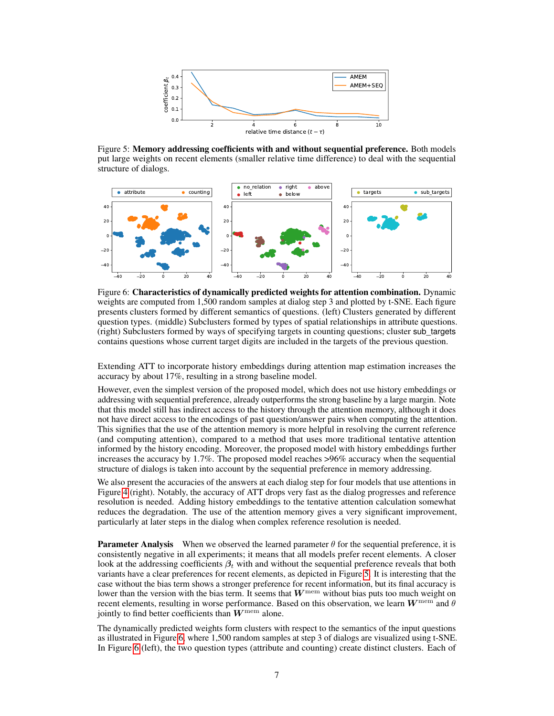

Figure 5: Memory addressing coefficients with and without sequential preference. Both models put large weights on recent elements (smaller relative time difference) to deal with the sequential structure of dialogs.



Figure 6: Characteristics of dynamically predicted weights for attention combination. Dynamic weights are computed from 1,500 random samples at dialog step 3 and plotted by t-SNE. Each figure presents clusters formed by different semantics of questions. (left) Clusters generated by different question types. (middle) Subclusters formed by types of spatial relationships in attribute questions. (right) Subclusters formed by ways of specifying targets in counting questions; cluster sub\_targets contains questions whose current target digits are included in the targets of the previous question.

Extending ATT to incorporate history embeddings during attention map estimation increases the accuracy by about 17%, resulting in a strong baseline model.

However, even the simplest version of the proposed model, which does not use history embeddings or addressing with sequential preference, already outperforms the strong baseline by a large margin. Note that this model still has indirect access to the history through the attention memory, although it does not have direct access to the encodings of past question/answer pairs when computing the attention. This signifies that the use of the attention memory is more helpful in resolving the current reference (and computing attention), compared to a method that uses more traditional tentative attention informed by the history encoding. Moreover, the proposed model with history embeddings further increases the accuracy by 1.7%. The proposed model reaches >96% accuracy when the sequential structure of dialogs is taken into account by the sequential preference in memory addressing.

We also present the accuracies of the answers at each dialog step for four models that use attentions in Figure 4 (right). Notably, the accuracy of ATT drops very fast as the dialog progresses and reference resolution is needed. Adding history embeddings to the tentative attention calculation somewhat reduces the degradation. The use of the attention memory gives a very significant improvement, particularly at later steps in the dialog when complex reference resolution is needed.

**Parameter Analysis** When we observed the learned parameter  $\theta$  for the sequential preference, it is consistently negative in all experiments; it means that all models prefer recent elements. A closer look at the addressing coefficients  $\beta_t$  with and without the sequential preference reveals that both variants have a clear preferences for recent elements, as depicted in Figure 5. It is interesting that the case without the bias term shows a stronger preference for recent information, but its final accuracy is lower than the version with the bias term. It seems that  $W^{\text{mem}}$  without bias puts too much weight on recent elements, resulting in worse performance. Based on this observation, we learn  $W^{\text{mem}}$  and  $\theta$ jointly to find better coefficients than  $W^{\text{mem}}$  alone.

The dynamically predicted weights form clusters with respect to the semantics of the input questions as illustrated in Figure 6, where 1,500 random samples at step 3 of dialogs are visualized using t-SNE. In Figure 6 (left), the two question types (attribute and counting) create distinct clusters. Each of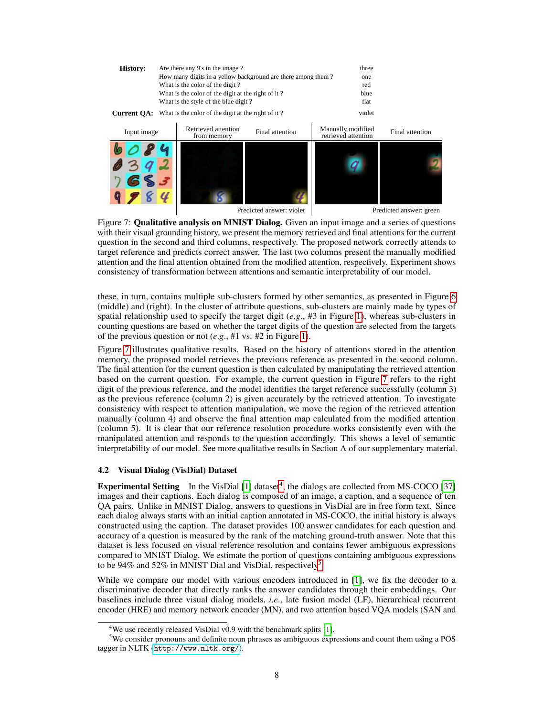![](_page_7_Figure_0.jpeg)

Figure 7: Qualitative analysis on MNIST Dialog. Given an input image and a series of questions with their visual grounding history, we present the memory retrieved and final attentions for the current question in the second and third columns, respectively. The proposed network correctly attends to target reference and predicts correct answer. The last two columns present the manually modified attention and the final attention obtained from the modified attention, respectively. Experiment shows consistency of transformation between attentions and semantic interpretability of our model.

these, in turn, contains multiple sub-clusters formed by other semantics, as presented in Figure 6 (middle) and (right). In the cluster of attribute questions, sub-clusters are mainly made by types of spatial relationship used to specify the target digit  $(e, g, #3)$  in Figure 1), whereas sub-clusters in counting questions are based on whether the target digits of the question are selected from the targets of the previous question or not (*e*.*g*., #1 vs. #2 in Figure 1).

Figure 7 illustrates qualitative results. Based on the history of attentions stored in the attention memory, the proposed model retrieves the previous reference as presented in the second column. The final attention for the current question is then calculated by manipulating the retrieved attention based on the current question. For example, the current question in Figure 7 refers to the right digit of the previous reference, and the model identifies the target reference successfully (column 3) as the previous reference (column 2) is given accurately by the retrieved attention. To investigate consistency with respect to attention manipulation, we move the region of the retrieved attention manually (column 4) and observe the final attention map calculated from the modified attention (column 5). It is clear that our reference resolution procedure works consistently even with the manipulated attention and responds to the question accordingly. This shows a level of semantic interpretability of our model. See more qualitative results in Section A of our supplementary material.

#### 4.2 Visual Dialog (VisDial) Dataset

**Experimental Setting** In the VisDial  $[1]$  dataset<sup>4</sup>, the dialogs are collected from MS-COCO  $[37]$ images and their captions. Each dialog is composed of an image, a caption, and a sequence of ten QA pairs. Unlike in MNIST Dialog, answers to questions in VisDial are in free form text. Since each dialog always starts with an initial caption annotated in MS-COCO, the initial history is always constructed using the caption. The dataset provides 100 answer candidates for each question and accuracy of a question is measured by the rank of the matching ground-truth answer. Note that this dataset is less focused on visual reference resolution and contains fewer ambiguous expressions compared to MNIST Dialog. We estimate the portion of questions containing ambiguous expressions to be 94% and 52% in MNIST Dial and VisDial, respectively<sup>5</sup>.

While we compare our model with various encoders introduced in [1], we fix the decoder to a discriminative decoder that directly ranks the answer candidates through their embeddings. Our baselines include three visual dialog models, *i*.*e*., late fusion model (LF), hierarchical recurrent encoder (HRE) and memory network encoder (MN), and two attention based VQA models (SAN and

<sup>&</sup>lt;sup>4</sup>We use recently released VisDial v0.9 with the benchmark splits [1].

<sup>5</sup>We consider pronouns and definite noun phrases as ambiguous expressions and count them using a POS tagger in NLTK (<http://www.nltk.org/>).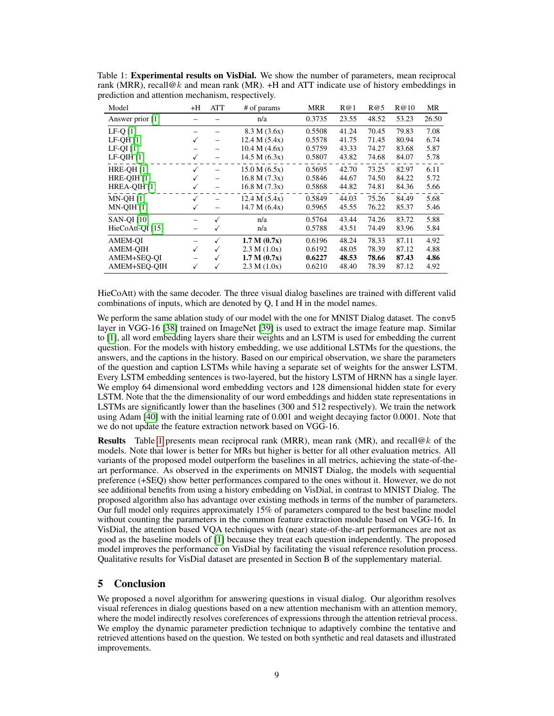| Model              | +H           | ATT | # of params   | MRR    | R@1   | R@5   | R@10  | MR    |
|--------------------|--------------|-----|---------------|--------|-------|-------|-------|-------|
| Answer prior [1]   |              |     | n/a           | 0.3735 | 23.55 | 48.52 | 53.23 | 26.50 |
| $LF-Q$ [1]         |              |     | 8.3 M (3.6x)  | 0.5508 | 41.24 | 70.45 | 79.83 | 7.08  |
| $LF-OH$ [1]        | ✓            |     | 12.4 M (5.4x) | 0.5578 | 41.75 | 71.45 | 80.94 | 6.74  |
| $LF-OI[1]$         |              |     | 10.4 M (4.6x) | 0.5759 | 43.33 | 74.27 | 83.68 | 5.87  |
| $LF-QIH$ [1]       | $\checkmark$ |     | 14.5 M (6.3x) | 0.5807 | 43.82 | 74.68 | 84.07 | 5.78  |
| <b>HRE-OH [1]</b>  |              |     | 15.0 M (6.5x) | 0.5695 | 42.70 | 73.25 | 82.97 | 6.11  |
| HRE-OIH [1]        |              | -   | 16.8 M (7.3x) | 0.5846 | 44.67 | 74.50 | 84.22 | 5.72  |
| HREA-QIH [1]       |              |     | 16.8 M (7.3x) | 0.5868 | 44.82 | 74.81 | 84.36 | 5.66  |
| <b>MN-OH [1]</b>   |              |     | 12.4 M (5.4x) | 0.5849 | 44.03 | 75.26 | 84.49 | 5.68  |
| $MN-QIH$ [1]       |              |     | 14.7 M (6.4x) | 0.5965 | 45.55 | 76.22 | 85.37 | 5.46  |
| <b>SAN-OI</b> [10] |              | √   | n/a           | 0.5764 | 43.44 | 74.26 | 83.72 | 5.88  |
| HieCoAtt-QI [15]   | -            | ✓   | n/a           | 0.5788 | 43.51 | 74.49 | 83.96 | 5.84  |
| <b>AMEM-OI</b>     |              | √   | 1.7 M (0.7x)  | 0.6196 | 48.24 | 78.33 | 87.11 | 4.92  |
| <b>AMEM-OIH</b>    | ✓            | ✓   | 2.3 M (1.0x)  | 0.6192 | 48.05 | 78.39 | 87.12 | 4.88  |
| AMEM+SEQ-QI        |              | ✓   | 1.7 M (0.7x)  | 0.6227 | 48.53 | 78.66 | 87.43 | 4.86  |
| AMEM+SEQ-QIH       | ✓            | ✓   | 2.3 M (1.0x)  | 0.6210 | 48.40 | 78.39 | 87.12 | 4.92  |

Table 1: Experimental results on VisDial. We show the number of parameters, mean reciprocal rank (MRR), recall@k and mean rank (MR).  $+H$  and ATT indicate use of history embeddings in prediction and attention mechanism, respectively.

HieCoAtt) with the same decoder. The three visual dialog baselines are trained with different valid combinations of inputs, which are denoted by Q, I and H in the model names.

We perform the same ablation study of our model with the one for MNIST Dialog dataset. The conv5 layer in VGG-16 [38] trained on ImageNet [39] is used to extract the image feature map. Similar to [1], all word embedding layers share their weights and an LSTM is used for embedding the current question. For the models with history embedding, we use additional LSTMs for the questions, the answers, and the captions in the history. Based on our empirical observation, we share the parameters of the question and caption LSTMs while having a separate set of weights for the answer LSTM. Every LSTM embedding sentences is two-layered, but the history LSTM of HRNN has a single layer. We employ 64 dimensional word embedding vectors and 128 dimensional hidden state for every LSTM. Note that the the dimensionality of our word embeddings and hidden state representations in LSTMs are significantly lower than the baselines (300 and 512 respectively). We train the network using Adam [40] with the initial learning rate of 0.001 and weight decaying factor 0.0001. Note that we do not update the feature extraction network based on VGG-16.

**Results** Table 1 presents mean reciprocal rank (MRR), mean rank (MR), and recall@k of the models. Note that lower is better for MRs but higher is better for all other evaluation metrics. All variants of the proposed model outperform the baselines in all metrics, achieving the state-of-theart performance. As observed in the experiments on MNIST Dialog, the models with sequential preference (+SEQ) show better performances compared to the ones without it. However, we do not see additional benefits from using a history embedding on VisDial, in contrast to MNIST Dialog. The proposed algorithm also has advantage over existing methods in terms of the number of parameters. Our full model only requires approximately 15% of parameters compared to the best baseline model without counting the parameters in the common feature extraction module based on VGG-16. In VisDial, the attention based VQA techniques with (near) state-of-the-art performances are not as good as the baseline models of [1] because they treat each question independently. The proposed model improves the performance on VisDial by facilitating the visual reference resolution process. Qualitative results for VisDial dataset are presented in Section B of the supplementary material.

## 5 Conclusion

We proposed a novel algorithm for answering questions in visual dialog. Our algorithm resolves visual references in dialog questions based on a new attention mechanism with an attention memory, where the model indirectly resolves coreferences of expressions through the attention retrieval process. We employ the dynamic parameter prediction technique to adaptively combine the tentative and retrieved attentions based on the question. We tested on both synthetic and real datasets and illustrated improvements.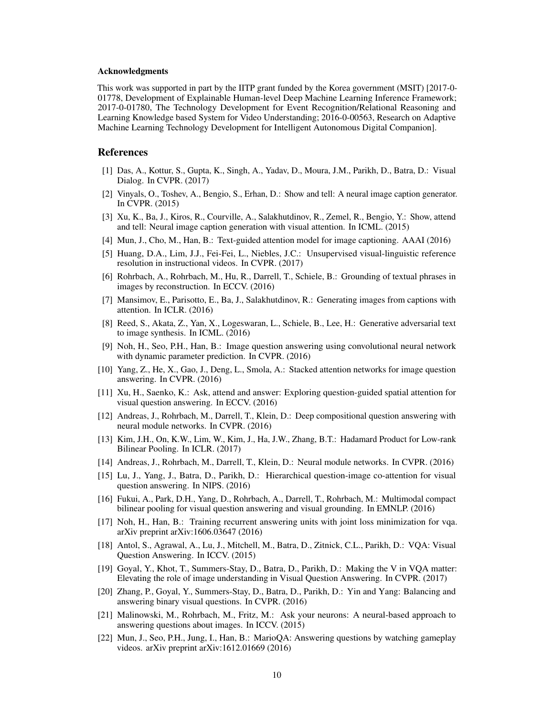#### Acknowledgments

This work was supported in part by the IITP grant funded by the Korea government (MSIT) [2017-0- 01778, Development of Explainable Human-level Deep Machine Learning Inference Framework; 2017-0-01780, The Technology Development for Event Recognition/Relational Reasoning and Learning Knowledge based System for Video Understanding; 2016-0-00563, Research on Adaptive Machine Learning Technology Development for Intelligent Autonomous Digital Companion].

#### References

- [1] Das, A., Kottur, S., Gupta, K., Singh, A., Yadav, D., Moura, J.M., Parikh, D., Batra, D.: Visual Dialog. In CVPR. (2017)
- [2] Vinyals, O., Toshev, A., Bengio, S., Erhan, D.: Show and tell: A neural image caption generator. In CVPR. (2015)
- [3] Xu, K., Ba, J., Kiros, R., Courville, A., Salakhutdinov, R., Zemel, R., Bengio, Y.: Show, attend and tell: Neural image caption generation with visual attention. In ICML. (2015)
- [4] Mun, J., Cho, M., Han, B.: Text-guided attention model for image captioning. AAAI (2016)
- [5] Huang, D.A., Lim, J.J., Fei-Fei, L., Niebles, J.C.: Unsupervised visual-linguistic reference resolution in instructional videos. In CVPR. (2017)
- [6] Rohrbach, A., Rohrbach, M., Hu, R., Darrell, T., Schiele, B.: Grounding of textual phrases in images by reconstruction. In ECCV. (2016)
- [7] Mansimov, E., Parisotto, E., Ba, J., Salakhutdinov, R.: Generating images from captions with attention. In ICLR. (2016)
- [8] Reed, S., Akata, Z., Yan, X., Logeswaran, L., Schiele, B., Lee, H.: Generative adversarial text to image synthesis. In ICML. (2016)
- [9] Noh, H., Seo, P.H., Han, B.: Image question answering using convolutional neural network with dynamic parameter prediction. In CVPR. (2016)
- [10] Yang, Z., He, X., Gao, J., Deng, L., Smola, A.: Stacked attention networks for image question answering. In CVPR. (2016)
- [11] Xu, H., Saenko, K.: Ask, attend and answer: Exploring question-guided spatial attention for visual question answering. In ECCV. (2016)
- [12] Andreas, J., Rohrbach, M., Darrell, T., Klein, D.: Deep compositional question answering with neural module networks. In CVPR. (2016)
- [13] Kim, J.H., On, K.W., Lim, W., Kim, J., Ha, J.W., Zhang, B.T.: Hadamard Product for Low-rank Bilinear Pooling. In ICLR. (2017)
- [14] Andreas, J., Rohrbach, M., Darrell, T., Klein, D.: Neural module networks. In CVPR. (2016)
- [15] Lu, J., Yang, J., Batra, D., Parikh, D.: Hierarchical question-image co-attention for visual question answering. In NIPS. (2016)
- [16] Fukui, A., Park, D.H., Yang, D., Rohrbach, A., Darrell, T., Rohrbach, M.: Multimodal compact bilinear pooling for visual question answering and visual grounding. In EMNLP. (2016)
- [17] Noh, H., Han, B.: Training recurrent answering units with joint loss minimization for vqa. arXiv preprint arXiv:1606.03647 (2016)
- [18] Antol, S., Agrawal, A., Lu, J., Mitchell, M., Batra, D., Zitnick, C.L., Parikh, D.: VQA: Visual Question Answering. In ICCV. (2015)
- [19] Goyal, Y., Khot, T., Summers-Stay, D., Batra, D., Parikh, D.: Making the V in VQA matter: Elevating the role of image understanding in Visual Question Answering. In CVPR. (2017)
- [20] Zhang, P., Goyal, Y., Summers-Stay, D., Batra, D., Parikh, D.: Yin and Yang: Balancing and answering binary visual questions. In CVPR. (2016)
- [21] Malinowski, M., Rohrbach, M., Fritz, M.: Ask your neurons: A neural-based approach to answering questions about images. In ICCV. (2015)
- [22] Mun, J., Seo, P.H., Jung, I., Han, B.: MarioQA: Answering questions by watching gameplay videos. arXiv preprint arXiv:1612.01669 (2016)